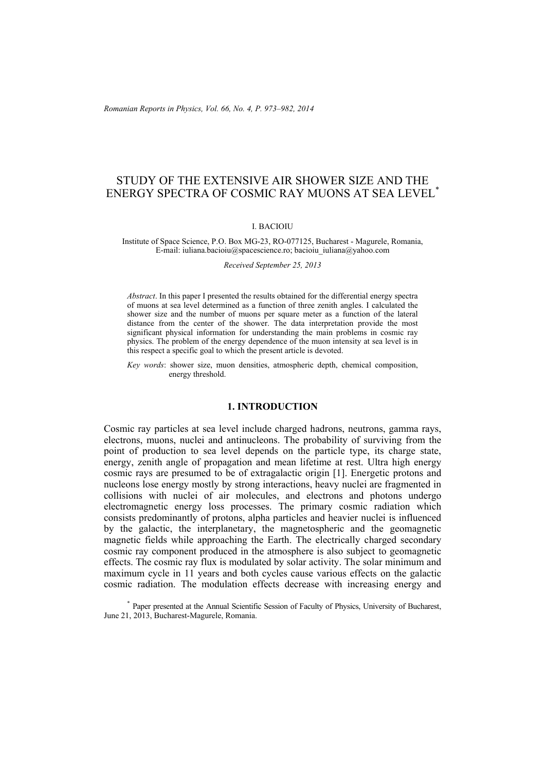*Romanian Reports in Physics, Vol. 66, No. 4, P. 973–982, 2014*

# STUDY OF THE EXTENSIVE AIR SHOWER SIZE AND THE ENERGY SPECTRA OF COSMIC RAY MUONS AT SEA LEVEL\*

### I. BACIOIU

#### Institute of Space Science, P.O. Box MG-23, RO-077125, Bucharest - Magurele, Romania, E-mail: iuliana.bacioiu@spacescience.ro; bacioiu\_iuliana@yahoo.com

*Received September 25, 2013* 

*Abstract*. In this paper I presented the results obtained for the differential energy spectra of muons at sea level determined as a function of three zenith angles. I calculated the shower size and the number of muons per square meter as a function of the lateral distance from the center of the shower. The data interpretation provide the most significant physical information for understanding the main problems in cosmic ray physics. The problem of the energy dependence of the muon intensity at sea level is in this respect a specific goal to which the present article is devoted.

*Key words*: shower size, muon densities, atmospheric depth, chemical composition, energy threshold.

### **1. INTRODUCTION**

Cosmic ray particles at sea level include charged hadrons, neutrons, gamma rays, electrons, muons, nuclei and antinucleons. The probability of surviving from the point of production to sea level depends on the particle type, its charge state, energy, zenith angle of propagation and mean lifetime at rest. Ultra high energy cosmic rays are presumed to be of extragalactic origin [1]. Energetic protons and nucleons lose energy mostly by strong interactions, heavy nuclei are fragmented in collisions with nuclei of air molecules, and electrons and photons undergo electromagnetic energy loss processes. The primary cosmic radiation which consists predominantly of protons, alpha particles and heavier nuclei is influenced by the galactic, the interplanetary, the magnetospheric and the geomagnetic magnetic fields while approaching the Earth. The electrically charged secondary cosmic ray component produced in the atmosphere is also subject to geomagnetic effects. The cosmic ray flux is modulated by solar activity. The solar minimum and maximum cycle in 11 years and both cycles cause various effects on the galactic cosmic radiation. The modulation effects decrease with increasing energy and

<sup>\*</sup> Paper presented at the Annual Scientific Session of Faculty of Physics, University of Bucharest, June 21, 2013, Bucharest-Magurele, Romania.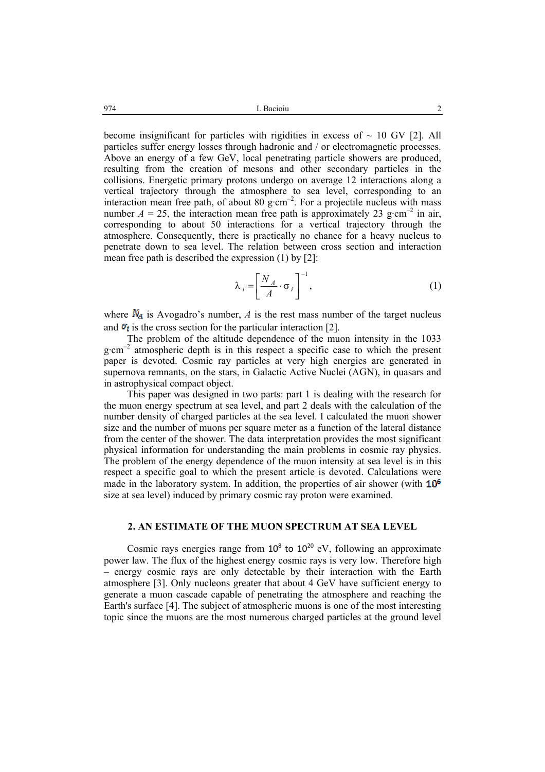become insignificant for particles with rigidities in excess of  $\sim 10$  GV [2]. All particles suffer energy losses through hadronic and / or electromagnetic processes. Above an energy of a few GeV, local penetrating particle showers are produced, resulting from the creation of mesons and other secondary particles in the collisions. Energetic primary protons undergo on average 12 interactions along a vertical trajectory through the atmosphere to sea level, corresponding to an interaction mean free path, of about 80 g·cm<sup>-2</sup>. For a projectile nucleus with mass number  $A = 25$ , the interaction mean free path is approximately 23 g·cm<sup>-2</sup> in air, corresponding to about 50 interactions for a vertical trajectory through the atmosphere. Consequently, there is practically no chance for a heavy nucleus to penetrate down to sea level. The relation between cross section and interaction mean free path is described the expression (1) by [2]:

$$
\lambda_i = \left[ \frac{N_A}{A} \cdot \sigma_i \right]^{-1},\tag{1}
$$

where  $\mathbf{N}_4$  is Avogadro's number, *A* is the rest mass number of the target nucleus and  $\sigma_i$  is the cross section for the particular interaction [2].

 The problem of the altitude dependence of the muon intensity in the 1033  $g \cdot cm^{-2}$  atmospheric depth is in this respect a specific case to which the present paper is devoted. Cosmic ray particles at very high energies are generated in supernova remnants, on the stars, in Galactic Active Nuclei (AGN), in quasars and in astrophysical compact object.

 This paper was designed in two parts: part 1 is dealing with the research for the muon energy spectrum at sea level, and part 2 deals with the calculation of the number density of charged particles at the sea level. I calculated the muon shower size and the number of muons per square meter as a function of the lateral distance from the center of the shower. The data interpretation provides the most significant physical information for understanding the main problems in cosmic ray physics. The problem of the energy dependence of the muon intensity at sea level is in this respect a specific goal to which the present article is devoted. Calculations were made in the laboratory system. In addition, the properties of air shower (with  $10^6$ ) size at sea level) induced by primary cosmic ray proton were examined.

## **2. AN ESTIMATE OF THE MUON SPECTRUM AT SEA LEVEL**

Cosmic rays energies range from  $10^8$  to  $10^{20}$  eV, following an approximate power law. The flux of the highest energy cosmic rays is very low. Therefore high – energy cosmic rays are only detectable by their interaction with the Earth atmosphere [3]. Only nucleons greater that about 4 GeV have sufficient energy to generate a muon cascade capable of penetrating the atmosphere and reaching the Earth's surface [4]. The subject of atmospheric muons is one of the most interesting topic since the muons are the most numerous charged particles at the ground level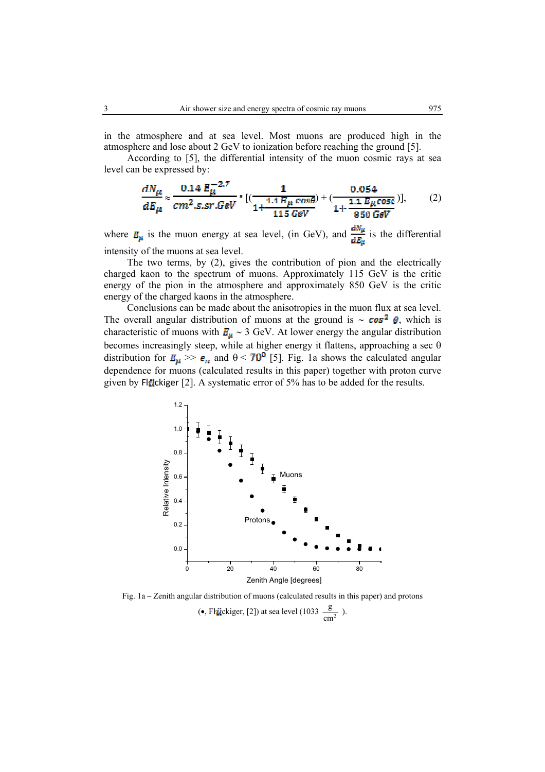in the atmosphere and at sea level. Most muons are produced high in the atmosphere and lose about 2 GeV to ionization before reaching the ground [5].

According to [5], the differential intensity of the muon cosmic rays at sea level can be expressed by:

$$
\frac{dN_{\mu}}{dE_{\mu}} \approx \frac{0.14 E_{\mu}^{-2.7}}{cm^2.s.sr.GeV} \cdot [(\frac{1}{1 + \frac{1.1 E_{\mu} cos\theta}{115 GeV}}) + (\frac{0.054}{1 + \frac{1.1 E_{\mu} cos\theta}{850 GeV}})],
$$
 (2)

where  $\mathbf{E}_{\mu}$  is the muon energy at sea level, (in GeV), and  $\frac{dN_{\mu}}{dE_{\nu}}$  is the differential intensity of the muons at sea level.

 The two terms, by (2), gives the contribution of pion and the electrically charged kaon to the spectrum of muons. Approximately 115 GeV is the critic energy of the pion in the atmosphere and approximately 850 GeV is the critic energy of the charged kaons in the atmosphere.

 Conclusions can be made about the anisotropies in the muon flux at sea level. The overall angular distribution of muons at the ground is ~  $cos^2 \theta$ , which is characteristic of muons with  $E_u \sim 3$  GeV. At lower energy the angular distribution becomes increasingly steep, while at higher energy it flattens, approaching a sec θ distribution for  $E_{\mu} \gg \epsilon_{\pi}$  and  $\theta$  < 70<sup>0</sup> [5]. Fig. 1a shows the calculated angular dependence for muons (calculated results in this paper) together with proton curve given by Flückiger [2]. A systematic error of  $5\%$  has to be added for the results.



Fig. 1a **–** Zenith angular distribution of muons (calculated results in this paper) and protons (•, Fl<sub>i</sub>tickiger, [2]) at sea level (1033  $\frac{\text{g}}{\text{cm}^2}$ ).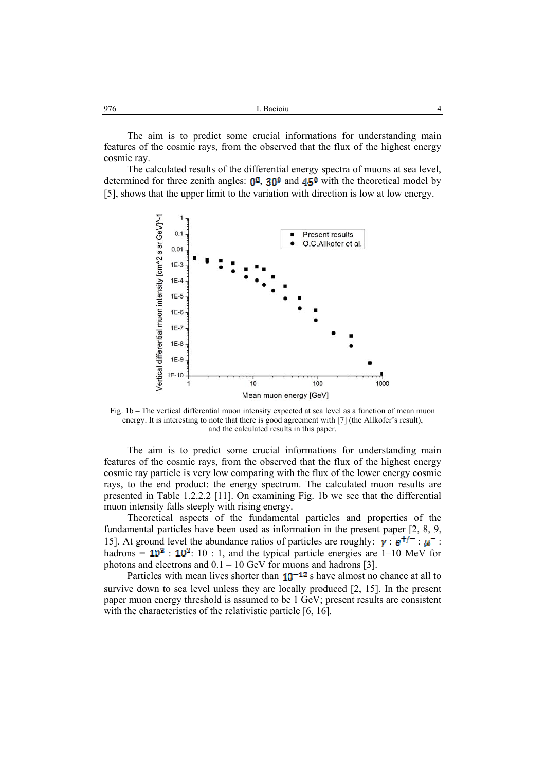The aim is to predict some crucial informations for understanding main features of the cosmic rays, from the observed that the flux of the highest energy cosmic ray.

 The calculated results of the differential energy spectra of muons at sea level, determined for three zenith angles:  $0^0$ ,  $30^0$  and  $45^0$  with the theoretical model by [5], shows that the upper limit to the variation with direction is low at low energy.



Fig. 1b **–** The vertical differential muon intensity expected at sea level as a function of mean muon energy. It is interesting to note that there is good agreement with [7] (the Allkofer's result), and the calculated results in this paper.

 The aim is to predict some crucial informations for understanding main features of the cosmic rays, from the observed that the flux of the highest energy cosmic ray particle is very low comparing with the flux of the lower energy cosmic rays, to the end product: the energy spectrum. The calculated muon results are presented in Table 1.2.2.2 [11]. On examining Fig. 1b we see that the differential muon intensity falls steeply with rising energy.

 Theoretical aspects of the fundamental particles and properties of the fundamental particles have been used as information in the present paper [2, 8, 9, 15]. At ground level the abundance ratios of particles are roughly:  $\vec{v}$  :  $\vec{e}^{+/-}$  :  $\vec{u}^{-}$  : hadrons =  $10^3$  :  $10^2$ : 10 : 1, and the typical particle energies are 1–10 MeV for photons and electrons and  $0.1 - 10$  GeV for muons and hadrons [3].

Particles with mean lives shorter than  $10^{-12}$  s have almost no chance at all to survive down to sea level unless they are locally produced [2, 15]. In the present paper muon energy threshold is assumed to be 1 GeV; present results are consistent with the characteristics of the relativistic particle [6, 16].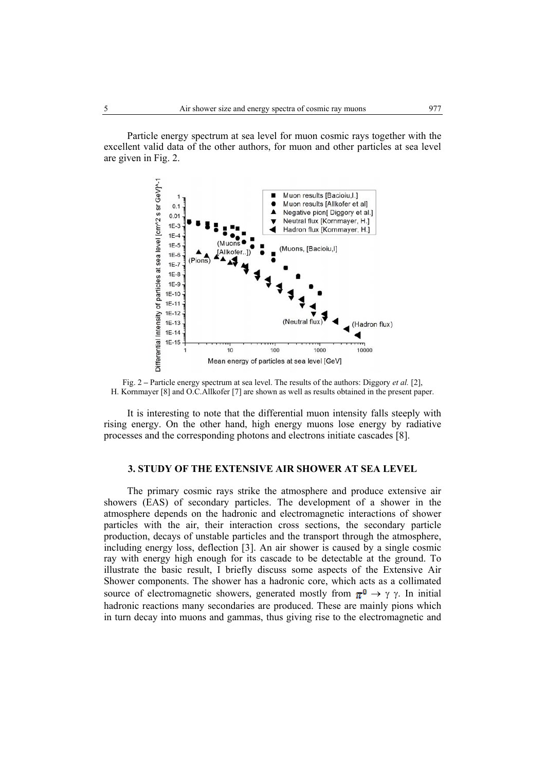Particle energy spectrum at sea level for muon cosmic rays together with the excellent valid data of the other authors, for muon and other particles at sea level are given in Fig. 2.



Fig. 2 **–** Particle energy spectrum at sea level. The results of the authors: Diggory *et al.* [2], H. Kornmayer [8] and O.C.Allkofer [7] are shown as well as results obtained in the present paper.

 It is interesting to note that the differential muon intensity falls steeply with rising energy. On the other hand, high energy muons lose energy by radiative processes and the corresponding photons and electrons initiate cascades [8].

### **3. STUDY OF THE EXTENSIVE AIR SHOWER AT SEA LEVEL**

 The primary cosmic rays strike the atmosphere and produce extensive air showers (EAS) of secondary particles. The development of a shower in the atmosphere depends on the hadronic and electromagnetic interactions of shower particles with the air, their interaction cross sections, the secondary particle production, decays of unstable particles and the transport through the atmosphere, including energy loss, deflection [3]. An air shower is caused by a single cosmic ray with energy high enough for its cascade to be detectable at the ground. To illustrate the basic result, I briefly discuss some aspects of the Extensive Air Shower components. The shower has a hadronic core, which acts as a collimated source of electromagnetic showers, generated mostly from  $\pi^0 \to \gamma \gamma$ . In initial hadronic reactions many secondaries are produced. These are mainly pions which in turn decay into muons and gammas, thus giving rise to the electromagnetic and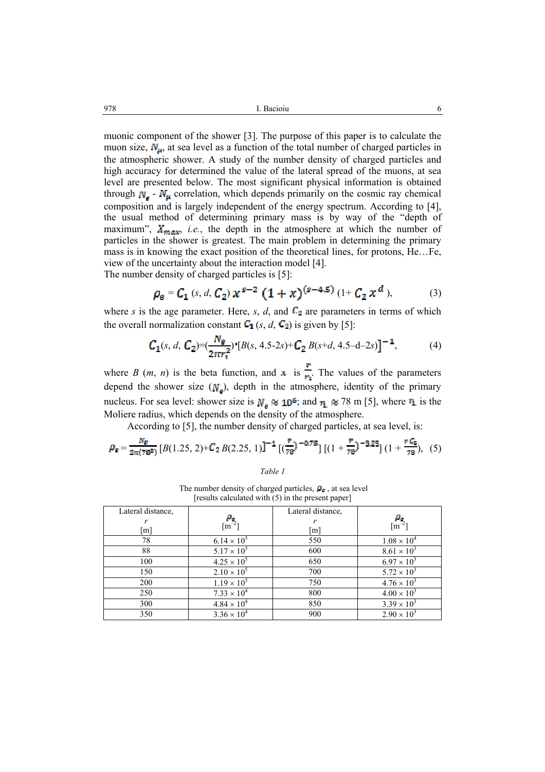muonic component of the shower [3]. The purpose of this paper is to calculate the muon size,  $N_{\mu}$ , at sea level as a function of the total number of charged particles in the atmospheric shower. A study of the number density of charged particles and high accuracy for determined the value of the lateral spread of the muons, at sea level are presented below. The most significant physical information is obtained through  $N_e$  -  $N_\mu$  correlation, which depends primarily on the cosmic ray chemical composition and is largely independent of the energy spectrum. According to [4], the usual method of determining primary mass is by way of the "depth of maximum",  $X_{max}$ , *i.e.*, the depth in the atmosphere at which the number of particles in the shower is greatest. The main problem in determining the primary mass is in knowing the exact position of the theoretical lines, for protons, He…Fe, view of the uncertainty about the interaction model [4].

The number density of charged particles is [5]:

$$
\rho_e = C_1 \left( s, d, C_2 \right) x^{s-2} \left( 1 + x \right)^{(s-4.5)} \left( 1 + C_2 x^d \right), \tag{3}
$$

where *s* is the age parameter. Here, *s*, *d*, and  $C_2$  are parameters in terms of which the overall normalization constant  $C_1$  (*s*, *d*,  $C_2$ ) is given by [5]:

$$
C_1(s, d, C_2) = (\frac{N_e}{2\pi r_1^2})^* [B(s, 4.5-2s) + C_2 B(s+d, 4.5-d-2s)]^{-1}, \tag{4}
$$

where *B* (*m*, *n*) is the beta function, and  $\bar{x}$  is  $\frac{r}{r_1}$ . The values of the parameters depend the shower size  $(N<sub>a</sub>)$ , depth in the atmosphere, identity of the primary nucleus. For sea level: shower size is  $N_e \approx 10^6$ ; and  $r_1 \approx 78$  m [5], where  $r_1$  is the Moliere radius, which depends on the density of the atmosphere.

According to [5], the number density of charged particles, at sea level, is:

$$
\rho_{\mathbf{g}} = \frac{N_{\mathbf{g}}}{2\pi (78^2)} \left[ B(1.25, 2) + C_2 B(2.25, 1) \right]^{-1} \left[ \left( \frac{r}{78} \right)^{-0.75} \right] \left[ (1 + \frac{r}{78})^{-3.25} \right] \left( 1 + \frac{r C_2}{78} \right), \tag{5}
$$

*Table 1*

The number density of charged particles,  $\rho_{\bullet}$ , at sea level [results calculated with (5) in the present paper]

| Lateral distance, | $\frac{\rho_{\mathbf{g}}}{\left[\text{m}^{-2}\right]}$ | Lateral distance, | $\lceil m^{-2} \rceil$ |
|-------------------|--------------------------------------------------------|-------------------|------------------------|
| m <sub>l</sub>    |                                                        | m                 |                        |
| 78                | $6.14 \times 10^{5}$                                   | 550               | $1.08 \times 10^{4}$   |
| 88                | $5.17 \times 10^{5}$                                   | 600               | $8.61 \times 10^{3}$   |
| 100               | $4.25 \times 10^{5}$                                   | 650               | $6.97 \times 10^{3}$   |
| 150               | $2.10 \times 10^{5}$                                   | 700               | $5.72 \times 10^{3}$   |
| 200               | $1.19 \times 10^{5}$                                   | 750               | $4.76 \times 10^{3}$   |
| 250               | $7.33 \times 10^{4}$                                   | 800               | $4.00 \times 10^{3}$   |
| 300               | $4.84 \times 10^{4}$                                   | 850               | $3.39 \times 10^{3}$   |
| 350               | $3.36 \times 10^{4}$                                   | 900               | $2.90 \times 10^{3}$   |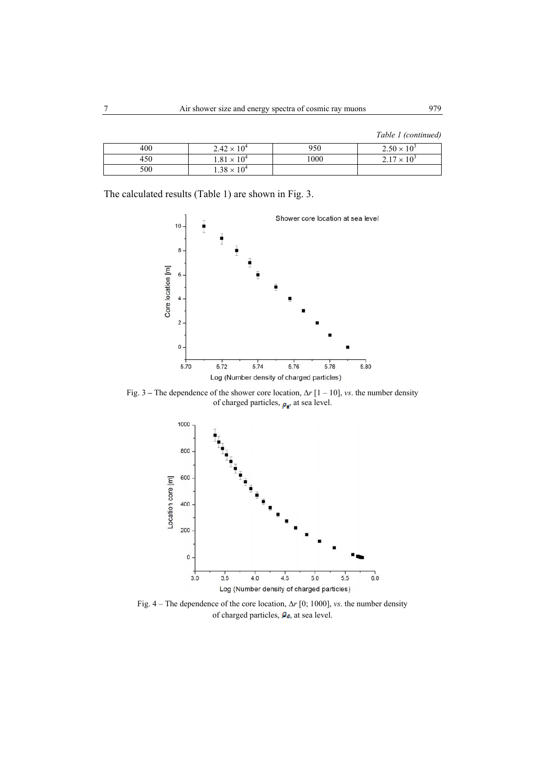| 400 | $2.42 \times 10^{4}$ | 950  | $2.50 \times 10^{3}$ |
|-----|----------------------|------|----------------------|
| 450 | $1.81 \times 10^{4}$ | 1000 | $2.17 \times 10^{3}$ |
| 500 | $1.38 \times 10^{4}$ |      |                      |

The calculated results (Table 1) are shown in Fig. 3.



Fig. 3 **–** The dependence of the shower core location, ∆*r* [1 – 10], *vs*. the number density of charged particles,  $p_e$ , at sea level.



Fig. 4 – The dependence of the core location, ∆*r* [0; 1000], *vs*. the number density of charged particles,  $\boldsymbol{p}_e$ , at sea level.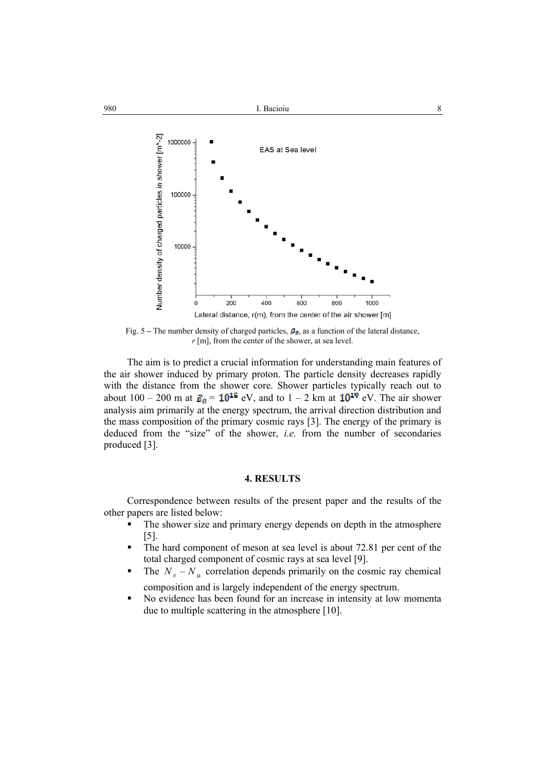

Fig. 5 – The number density of charged particles,  $P_{\epsilon}$ , as a function of the lateral distance, *r* [m], from the center of the shower, at sea level.

 The aim is to predict a crucial information for understanding main features of the air shower induced by primary proton. The particle density decreases rapidly with the distance from the shower core. Shower particles typically reach out to about 100 – 200 m at  $\mathbf{E}_0 = 10^{15}$  eV, and to 1 – 2 km at  $10^{19}$  eV. The air shower analysis aim primarily at the energy spectrum, the arrival direction distribution and the mass composition of the primary cosmic rays [3]. The energy of the primary is deduced from the "size" of the shower, *i.e.* from the number of secondaries produced [3].

### **4. RESULTS**

 Correspondence between results of the present paper and the results of the other papers are listed below:

- The shower size and primary energy depends on depth in the atmosphere [5].
- The hard component of meson at sea level is about 72.81 per cent of the total charged component of cosmic rays at sea level [9].
- The  $N_e N_\mu$  correlation depends primarily on the cosmic ray chemical composition and is largely independent of the energy spectrum.
- No evidence has been found for an increase in intensity at low momenta due to multiple scattering in the atmosphere [10].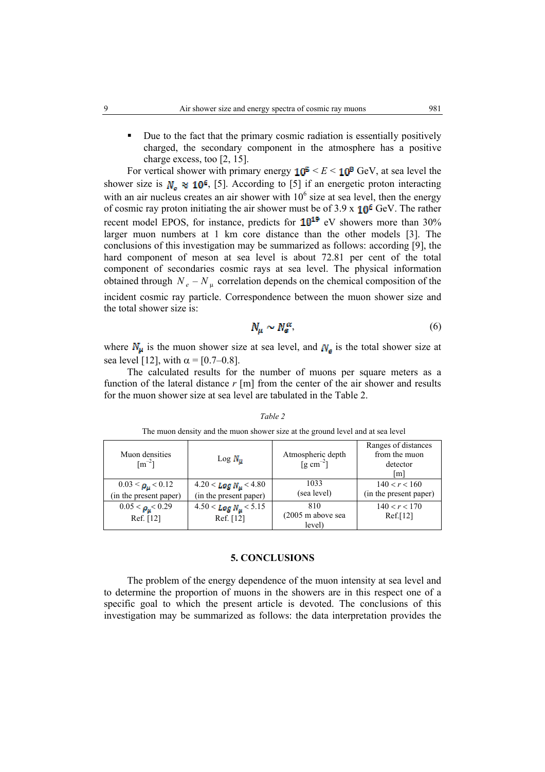Due to the fact that the primary cosmic radiation is essentially positively charged, the secondary component in the atmosphere has a positive charge excess, too [2, 15].

For vertical shower with primary energy  $10^5 \le E \le 10^8$  GeV, at sea level the shower size is  $N_e \approx 10^6$ , [5]. According to [5] if an energetic proton interacting with an air nucleus creates an air shower with  $10<sup>6</sup>$  size at sea level, then the energy of cosmic ray proton initiating the air shower must be of  $3.9 \times 10^6$  GeV. The rather recent model EPOS, for instance, predicts for  $10^{19}$  eV showers more than 30% larger muon numbers at 1 km core distance than the other models [3]. The conclusions of this investigation may be summarized as follows: according [9], the hard component of meson at sea level is about 72.81 per cent of the total component of secondaries cosmic rays at sea level. The physical information obtained through  $N_e - N_\mu$  correlation depends on the chemical composition of the incident cosmic ray particle. Correspondence between the muon shower size and the total shower size is:

$$
N_{\mu} \sim N_{e}^{\alpha},\tag{6}
$$

where  $N_{\mu}$  is the muon shower size at sea level, and  $N_{\mu}$  is the total shower size at sea level [12], with  $\alpha = [0.7{\text -}0.8]$ .

 The calculated results for the number of muons per square meters as a function of the lateral distance *r* [m] from the center of the air shower and results for the muon shower size at sea level are tabulated in the Table 2.

The muon density and the muon shower size at the ground level and at sea level

| Muon densities<br>$\lceil m^{-2} \rceil$             | $\text{Log } N_u$                                            | Atmospheric depth<br>$\left[\text{g cm}^{-2}\right]$ | Ranges of distances<br>from the muon<br>detector<br>[m] |
|------------------------------------------------------|--------------------------------------------------------------|------------------------------------------------------|---------------------------------------------------------|
| $0.03 < \rho_{\mu} < 0.12$<br>(in the present paper) | $4.20 <$ Log N <sub>u</sub> < 4.80<br>(in the present paper) | 1033<br>(sea level)                                  | 140 < r < 160<br>(in the present paper)                 |
| $0.05 < \rho_u < 0.29$<br>Ref. [12]                  | $4.50 <$ Log $N_{\mu}$ < 5.15<br>Ref. [12]                   | 810<br>$(2005 \text{ m}$ above sea<br>level)         | 140 < r < 170<br>Ref.[12]                               |

*Table 2*

### **5. CONCLUSIONS**

 The problem of the energy dependence of the muon intensity at sea level and to determine the proportion of muons in the showers are in this respect one of a specific goal to which the present article is devoted. The conclusions of this investigation may be summarized as follows: the data interpretation provides the